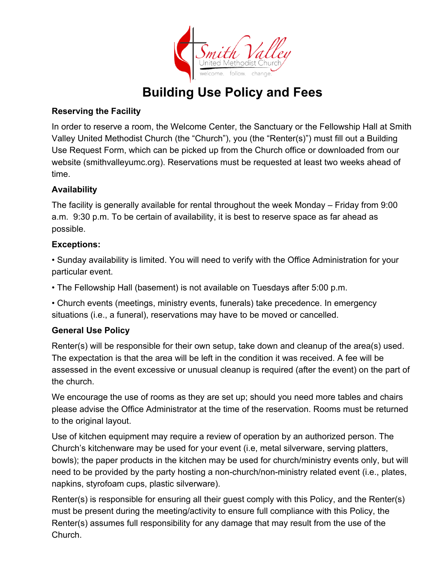

## **Building Use Policy and Fees**

#### **Reserving the Facility**

In order to reserve a room, the Welcome Center, the Sanctuary or the Fellowship Hall at Smith Valley United Methodist Church (the "Church"), you (the "Renter(s)") must fill out a Building Use Request Form, which can be picked up from the Church office or downloaded from our website (smithvalleyumc.org). Reservations must be requested at least two weeks ahead of time.

#### **Availability**

The facility is generally available for rental throughout the week Monday – Friday from 9:00 a.m. 9:30 p.m. To be certain of availability, it is best to reserve space as far ahead as possible.

#### **Exceptions:**

• Sunday availability is limited. You will need to verify with the Office Administration for your particular event.

• The Fellowship Hall (basement) is not available on Tuesdays after 5:00 p.m.

• Church events (meetings, ministry events, funerals) take precedence. In emergency situations (i.e., a funeral), reservations may have to be moved or cancelled.

#### **General Use Policy**

Renter(s) will be responsible for their own setup, take down and cleanup of the area(s) used. The expectation is that the area will be left in the condition it was received. A fee will be assessed in the event excessive or unusual cleanup is required (after the event) on the part of the church.

We encourage the use of rooms as they are set up; should you need more tables and chairs please advise the Office Administrator at the time of the reservation. Rooms must be returned to the original layout.

Use of kitchen equipment may require a review of operation by an authorized person. The Church's kitchenware may be used for your event (i.e, metal silverware, serving platters, bowls); the paper products in the kitchen may be used for church/ministry events only, but will need to be provided by the party hosting a non-church/non-ministry related event (i.e., plates, napkins, styrofoam cups, plastic silverware).

Renter(s) is responsible for ensuring all their guest comply with this Policy, and the Renter(s) must be present during the meeting/activity to ensure full compliance with this Policy, the Renter(s) assumes full responsibility for any damage that may result from the use of the Church.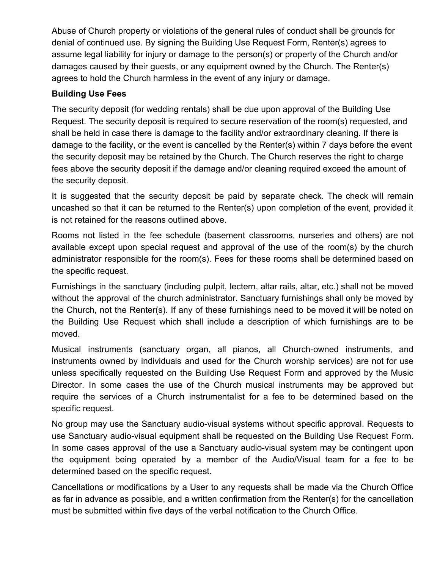Abuse of Church property or violations of the general rules of conduct shall be grounds for denial of continued use. By signing the Building Use Request Form, Renter(s) agrees to assume legal liability for injury or damage to the person(s) or property of the Church and/or damages caused by their guests, or any equipment owned by the Church. The Renter(s) agrees to hold the Church harmless in the event of any injury or damage.

#### **Building Use Fees**

The security deposit (for wedding rentals) shall be due upon approval of the Building Use Request. The security deposit is required to secure reservation of the room(s) requested, and shall be held in case there is damage to the facility and/or extraordinary cleaning. If there is damage to the facility, or the event is cancelled by the Renter(s) within 7 days before the event the security deposit may be retained by the Church. The Church reserves the right to charge fees above the security deposit if the damage and/or cleaning required exceed the amount of the security deposit.

It is suggested that the security deposit be paid by separate check. The check will remain uncashed so that it can be returned to the Renter(s) upon completion of the event, provided it is not retained for the reasons outlined above.

Rooms not listed in the fee schedule (basement classrooms, nurseries and others) are not available except upon special request and approval of the use of the room(s) by the church administrator responsible for the room(s). Fees for these rooms shall be determined based on the specific request.

Furnishings in the sanctuary (including pulpit, lectern, altar rails, altar, etc.) shall not be moved without the approval of the church administrator. Sanctuary furnishings shall only be moved by the Church, not the Renter(s). If any of these furnishings need to be moved it will be noted on the Building Use Request which shall include a description of which furnishings are to be moved.

Musical instruments (sanctuary organ, all pianos, all Church-owned instruments, and instruments owned by individuals and used for the Church worship services) are not for use unless specifically requested on the Building Use Request Form and approved by the Music Director. In some cases the use of the Church musical instruments may be approved but require the services of a Church instrumentalist for a fee to be determined based on the specific request.

No group may use the Sanctuary audio-visual systems without specific approval. Requests to use Sanctuary audio-visual equipment shall be requested on the Building Use Request Form. In some cases approval of the use a Sanctuary audio-visual system may be contingent upon the equipment being operated by a member of the Audio/Visual team for a fee to be determined based on the specific request.

Cancellations or modifications by a User to any requests shall be made via the Church Office as far in advance as possible, and a written confirmation from the Renter(s) for the cancellation must be submitted within five days of the verbal notification to the Church Office.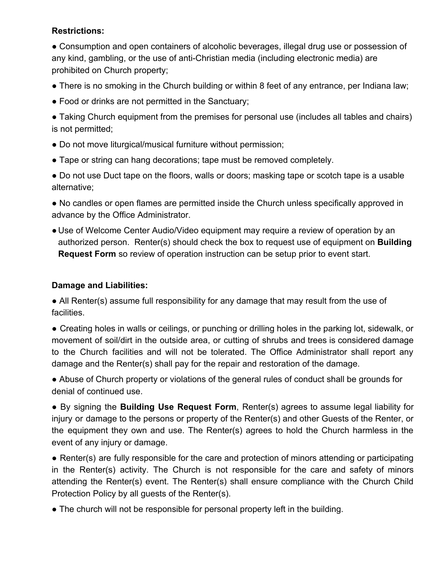#### **Restrictions:**

● Consumption and open containers of alcoholic beverages, illegal drug use or possession of any kind, gambling, or the use of anti-Christian media (including electronic media) are prohibited on Church property;

- There is no smoking in the Church building or within 8 feet of any entrance, per Indiana law;
- Food or drinks are not permitted in the Sanctuary;

• Taking Church equipment from the premises for personal use (includes all tables and chairs) is not permitted;

- Do not move liturgical/musical furniture without permission;
- Tape or string can hang decorations; tape must be removed completely.
- Do not use Duct tape on the floors, walls or doors; masking tape or scotch tape is a usable alternative;

● No candles or open flames are permitted inside the Church unless specifically approved in advance by the Office Administrator.

• Use of Welcome Center Audio/Video equipment may require a review of operation by an authorized person. Renter(s) should check the box to request use of equipment on **Building Request Form** so review of operation instruction can be setup prior to event start.

#### **Damage and Liabilities:**

• All Renter(s) assume full responsibility for any damage that may result from the use of facilities.

● Creating holes in walls or ceilings, or punching or drilling holes in the parking lot, sidewalk, or movement of soil/dirt in the outside area, or cutting of shrubs and trees is considered damage to the Church facilities and will not be tolerated. The Office Administrator shall report any damage and the Renter(s) shall pay for the repair and restoration of the damage.

• Abuse of Church property or violations of the general rules of conduct shall be grounds for denial of continued use.

● By signing the **Building Use Request Form**, Renter(s) agrees to assume legal liability for injury or damage to the persons or property of the Renter(s) and other Guests of the Renter, or the equipment they own and use. The Renter(s) agrees to hold the Church harmless in the event of any injury or damage.

• Renter(s) are fully responsible for the care and protection of minors attending or participating in the Renter(s) activity. The Church is not responsible for the care and safety of minors attending the Renter(s) event. The Renter(s) shall ensure compliance with the Church Child Protection Policy by all guests of the Renter(s).

• The church will not be responsible for personal property left in the building.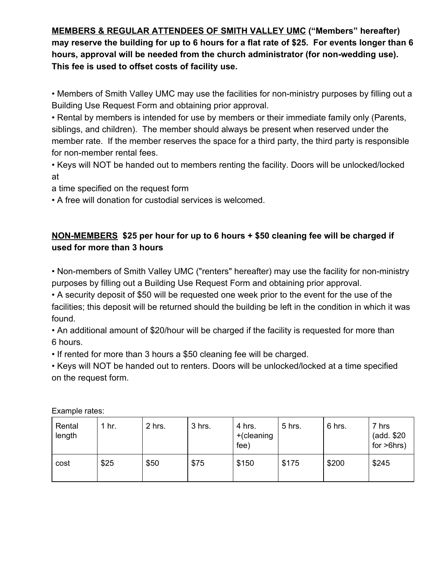**MEMBERS & REGULAR ATTENDEES OF SMITH VALLEY UMC ("Members" hereafter) may reserve the building for up to 6 hours for a flat rate of \$25. For events longer than 6 hours, approval will be needed from the church administrator (for non-wedding use). This fee is used to offset costs of facility use.**

• Members of Smith Valley UMC may use the facilities for non-ministry purposes by filling out a Building Use Request Form and obtaining prior approval.

• Rental by members is intended for use by members or their immediate family only (Parents, siblings, and children). The member should always be present when reserved under the member rate. If the member reserves the space for a third party, the third party is responsible for non-member rental fees.

• Keys will NOT be handed out to members renting the facility. Doors will be unlocked/locked at

a time specified on the request form

• A free will donation for custodial services is welcomed.

### **NON-MEMBERS \$25 per hour for up to 6 hours + \$50 cleaning fee will be charged if used for more than 3 hours**

• Non-members of Smith Valley UMC ("renters" hereafter) may use the facility for non-ministry purposes by filling out a Building Use Request Form and obtaining prior approval.

• A security deposit of \$50 will be requested one week prior to the event for the use of the facilities; this deposit will be returned should the building be left in the condition in which it was found.

• An additional amount of \$20/hour will be charged if the facility is requested for more than 6 hours.

• If rented for more than 3 hours a \$50 cleaning fee will be charged.

• Keys will NOT be handed out to renters. Doors will be unlocked/locked at a time specified on the request form.

| Rental<br>length | $1$ hr. | 2 hrs. | 3 hrs. | 4 hrs.<br>$+(cleaning$<br>fee) | 5 hrs. | 6 hrs. | 7 hrs<br>(add. \$20)<br>for $>6$ hrs) |
|------------------|---------|--------|--------|--------------------------------|--------|--------|---------------------------------------|
| cost             | \$25    | \$50   | \$75   | \$150                          | \$175  | \$200  | \$245                                 |

Example rates: